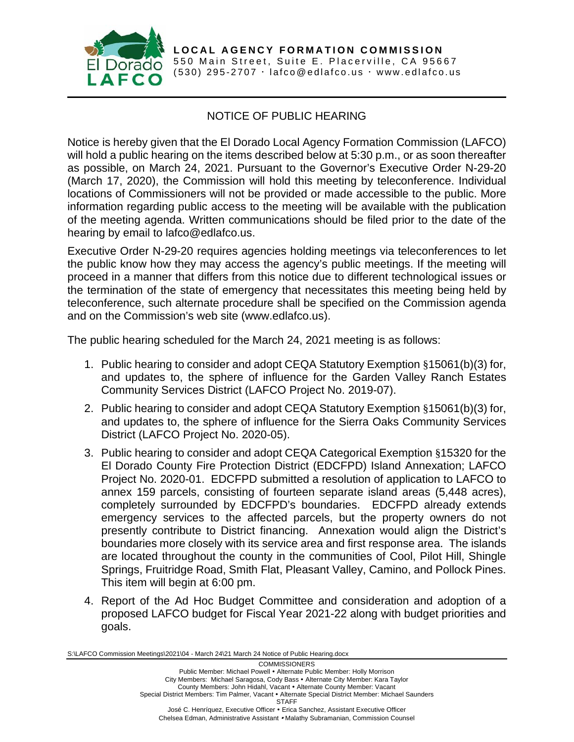

**LOCAL AGENCY FORMATION COMMISSION** 550 Main Street, Suite E. Placerville, CA 95667 (530) 295-2707  $\cdot$  [lafco@edlafco.us](mailto:lafco@edlafco.us)  $\cdot$  www.edlafco.us

## NOTICE OF PUBLIC HEARING

Notice is hereby given that the El Dorado Local Agency Formation Commission (LAFCO) will hold a public hearing on the items described below at 5:30 p.m., or as soon thereafter as possible, on March 24, 2021. Pursuant to the Governor's Executive Order N-29-20 (March 17, 2020), the Commission will hold this meeting by teleconference. Individual locations of Commissioners will not be provided or made accessible to the public. More information regarding public access to the meeting will be available with the publication of the meeting agenda. Written communications should be filed prior to the date of the hearing by email to lafco@edlafco.us.

Executive Order N-29-20 requires agencies holding meetings via teleconferences to let the public know how they may access the agency's public meetings. If the meeting will proceed in a manner that differs from this notice due to different technological issues or the termination of the state of emergency that necessitates this meeting being held by teleconference, such alternate procedure shall be specified on the Commission agenda and on the Commission's web site (www.edlafco.us).

The public hearing scheduled for the March 24, 2021 meeting is as follows:

- 1. Public hearing to consider and adopt CEQA Statutory Exemption §15061(b)(3) for, and updates to, the sphere of influence for the Garden Valley Ranch Estates Community Services District (LAFCO Project No. 2019-07).
- 2. Public hearing to consider and adopt CEQA Statutory Exemption §15061(b)(3) for, and updates to, the sphere of influence for the Sierra Oaks Community Services District (LAFCO Project No. 2020-05).
- 3. Public hearing to consider and adopt CEQA Categorical Exemption §15320 for the El Dorado County Fire Protection District (EDCFPD) Island Annexation; LAFCO Project No. 2020-01. EDCFPD submitted a resolution of application to LAFCO to annex 159 parcels, consisting of fourteen separate island areas (5,448 acres), completely surrounded by EDCFPD's boundaries. EDCFPD already extends emergency services to the affected parcels, but the property owners do not presently contribute to District financing. Annexation would align the District's boundaries more closely with its service area and first response area. The islands are located throughout the county in the communities of Cool, Pilot Hill, Shingle Springs, Fruitridge Road, Smith Flat, Pleasant Valley, Camino, and Pollock Pines. This item will begin at 6:00 pm.
- 4. Report of the Ad Hoc Budget Committee and consideration and adoption of a proposed LAFCO budget for Fiscal Year 2021-22 along with budget priorities and goals.

S:\LAFCO Commission Meetings\2021\04 - March 24\21 March 24 Notice of Public Hearing.docx